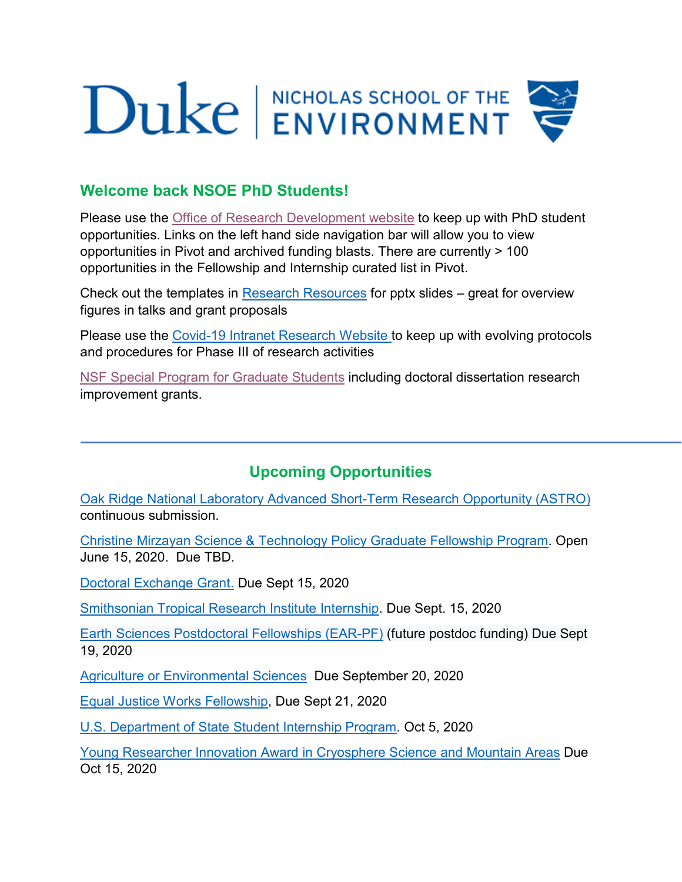## Duke ENVIRONMENT

## **Welcome back NSOE PhD Students!**

Please use the [Office of Research Development website](https://sites.nicholas.duke.edu/nsoeresearchdev/) to keep up with PhD student opportunities. Links on the left hand side navigation bar will allow you to view opportunities in Pivot and archived funding blasts. There are currently > 100 opportunities in the Fellowship and Internship curated list in Pivot.

Check out the templates in [Research Resources](https://sites.nicholas.duke.edu/nsoeresearchdev/research-resources/) for pptx slides – great for overview figures in talks and grant proposals

Please use the [Covid-19 Intranet Research](https://sites.nicholas.duke.edu/intranet/covid19/research/) Website to keep up with evolving protocols and procedures for Phase III of research activities

[NSF Special Program for Graduate Students](https://www.nsf.gov/funding/education.jsp?fund_type=2) including doctoral dissertation research improvement grants.

## **Upcoming Opportunities**

[Oak Ridge National Laboratory Advanced Short-Term Research Opportunity \(ASTRO\)](https://orise.orau.gov/ornl/astro/default.html) continuous submission.

[Christine Mirzayan Science & Technology Policy Graduate Fellowship Program.](http://sites.nationalacademies.org/PGA/policyfellows/index.htm) Open June 15, 2020. Due TBD.

[Doctoral Exchange Grant.](http://www.zenokarlschindler-foundation.ch/doctoral-exchange-grant.html) Due Sept 15, 2020

[Smithsonian Tropical Research Institute Internship.](https://stri.si.edu/academic-programs/internships) Due Sept. 15, 2020

[Earth Sciences Postdoctoral Fellowships \(EAR-PF\)](https://www.nsf.gov/funding/pgm_summ.jsp?pims_id=503144) (future postdoc funding) Due Sept 19, 2020

[Agriculture or Environmental Sciences](https://awards.cies.org/content/agriculture-or-environmental-sciences-2) Due September 20, 2020

[Equal Justice Works Fellowship,](https://www.equaljusticeworks.org/become-a-fellow/) Due Sept 21, 2020

[U.S. Department of State Student Internship Program.](https://careers.state.gov/intern/student-internships/) Oct 5, 2020

[Young Researcher Innovation Award in Cryosphere Science and Mountain Areas](https://www.ucm.es/gfam/young-researchers-award) Due Oct 15, 2020